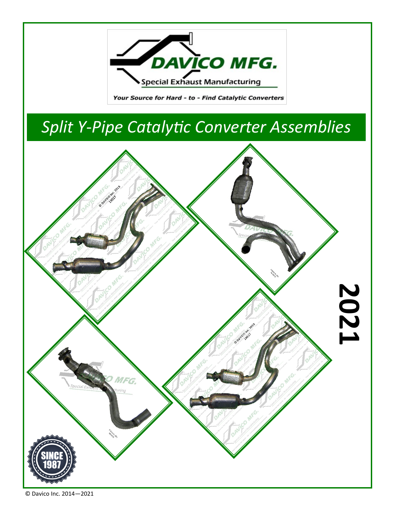

Your Source for Hard - to - Find Catalytic Converters

## *Split Y-Pipe Catalytic Converter Assemblies*



© Davico Inc. 2014—2021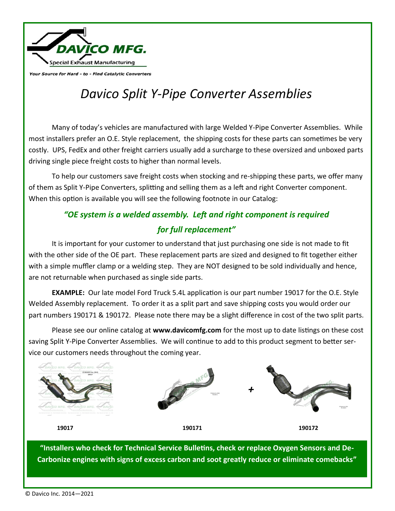

Your Source for Hard - to - Find Catalytic Converters

## *Davico Split Y-Pipe Converter Assemblies*

Many of today's vehicles are manufactured with large Welded Y-Pipe Converter Assemblies. While most installers prefer an O.E. Style replacement, the shipping costs for these parts can sometimes be very costly. UPS, FedEx and other freight carriers usually add a surcharge to these oversized and unboxed parts driving single piece freight costs to higher than normal levels.

To help our customers save freight costs when stocking and re-shipping these parts, we offer many of them as Split Y-Pipe Converters, splitting and selling them as a left and right Converter component. When this option is available you will see the following footnote in our Catalog:

## *"OE system is a welded assembly. Left and right component is required for full replacement"*

It is important for your customer to understand that just purchasing one side is not made to fit with the other side of the OE part. These replacement parts are sized and designed to fit together either with a simple muffler clamp or a welding step. They are NOT designed to be sold individually and hence, are not returnable when purchased as single side parts.

**EXAMPLE:** Our late model Ford Truck 5.4L application is our part number 19017 for the O.E. Style Welded Assembly replacement. To order it as a split part and save shipping costs you would order our part numbers 190171 & 190172. Please note there may be a slight difference in cost of the two split parts.

Please see our online catalog at **www.davicomfg.com** for the most up to date listings on these cost saving Split Y-Pipe Converter Assemblies. We will continue to add to this product segment to better service our customers needs throughout the coming year.



**"Installers who check for Technical Service Bulletins, check or replace Oxygen Sensors and De-Carbonize engines with signs of excess carbon and soot greatly reduce or eliminate comebacks"**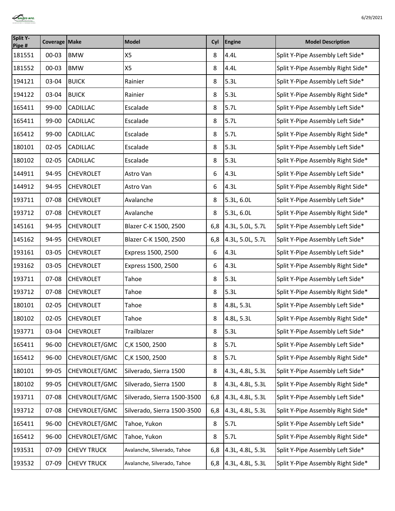

| <b>Split Y-</b><br>Pipe # | Coverage Make |                    | Model                       | Cyl | Engine           | <b>Model Description</b>          |
|---------------------------|---------------|--------------------|-----------------------------|-----|------------------|-----------------------------------|
| 181551                    | $00 - 03$     | <b>BMW</b>         | <b>X5</b>                   | 8   | 4.4L             | Split Y-Pipe Assembly Left Side*  |
| 181552                    | $00 - 03$     | <b>BMW</b>         | X5                          | 8   | 4.4L             | Split Y-Pipe Assembly Right Side* |
| 194121                    | 03-04         | <b>BUICK</b>       | Rainier                     | 8   | 5.3L             | Split Y-Pipe Assembly Left Side*  |
| 194122                    | 03-04         | <b>BUICK</b>       | Rainier                     | 8   | 5.3L             | Split Y-Pipe Assembly Right Side* |
| 165411                    | 99-00         | CADILLAC           | Escalade                    | 8   | 5.7L             | Split Y-Pipe Assembly Left Side*  |
| 165411                    | 99-00         | CADILLAC           | Escalade                    | 8   | 5.7L             | Split Y-Pipe Assembly Left Side*  |
| 165412                    | 99-00         | CADILLAC           | Escalade                    | 8   | 5.7L             | Split Y-Pipe Assembly Right Side* |
| 180101                    | $02 - 05$     | CADILLAC           | Escalade                    | 8   | 5.3L             | Split Y-Pipe Assembly Left Side*  |
| 180102                    | $02 - 05$     | CADILLAC           | Escalade                    | 8   | 5.3L             | Split Y-Pipe Assembly Right Side* |
| 144911                    | 94-95         | <b>CHEVROLET</b>   | Astro Van                   | 6   | 4.3L             | Split Y-Pipe Assembly Left Side*  |
| 144912                    | 94-95         | <b>CHEVROLET</b>   | Astro Van                   | 6   | 4.3L             | Split Y-Pipe Assembly Right Side* |
| 193711                    | 07-08         | <b>CHEVROLET</b>   | Avalanche                   | 8   | 5.3L, 6.0L       | Split Y-Pipe Assembly Left Side*  |
| 193712                    | 07-08         | <b>CHEVROLET</b>   | Avalanche                   | 8   | 5.3L, 6.0L       | Split Y-Pipe Assembly Right Side* |
| 145161                    | 94-95         | <b>CHEVROLET</b>   | Blazer C-K 1500, 2500       | 6,8 | 4.3L, 5.0L, 5.7L | Split Y-Pipe Assembly Left Side*  |
| 145162                    | 94-95         | <b>CHEVROLET</b>   | Blazer C-K 1500, 2500       | 6,8 | 4.3L, 5.0L, 5.7L | Split Y-Pipe Assembly Left Side*  |
| 193161                    | 03-05         | <b>CHEVROLET</b>   | Express 1500, 2500          | 6   | 4.3L             | Split Y-Pipe Assembly Left Side*  |
| 193162                    | 03-05         | <b>CHEVROLET</b>   | Express 1500, 2500          | 6   | 4.3L             | Split Y-Pipe Assembly Right Side* |
| 193711                    | 07-08         | <b>CHEVROLET</b>   | Tahoe                       | 8   | 5.3L             | Split Y-Pipe Assembly Left Side*  |
| 193712                    | 07-08         | <b>CHEVROLET</b>   | Tahoe                       | 8   | 5.3L             | Split Y-Pipe Assembly Right Side* |
| 180101                    | $02 - 05$     | <b>CHEVROLET</b>   | Tahoe                       | 8   | 4.8L, 5.3L       | Split Y-Pipe Assembly Left Side*  |
| 180102                    | $02 - 05$     | <b>CHEVROLET</b>   | Tahoe                       | 8   | 4.8L, 5.3L       | Split Y-Pipe Assembly Right Side* |
| 193771                    | 03-04         | <b>CHEVROLET</b>   | Trailblazer                 | 8   | 5.3L             | Split Y-Pipe Assembly Left Side*  |
| 165411                    | 96-00         | CHEVROLET/GMC      | C,K 1500, 2500              | 8   | 5.7L             | Split Y-Pipe Assembly Left Side*  |
| 165412                    | 96-00         | CHEVROLET/GMC      | C,K 1500, 2500              | 8   | 5.7L             | Split Y-Pipe Assembly Right Side* |
| 180101                    | 99-05         | CHEVROLET/GMC      | Silverado, Sierra 1500      | 8   | 4.3L, 4.8L, 5.3L | Split Y-Pipe Assembly Left Side*  |
| 180102                    | 99-05         | CHEVROLET/GMC      | Silverado, Sierra 1500      | 8   | 4.3L, 4.8L, 5.3L | Split Y-Pipe Assembly Right Side* |
| 193711                    | 07-08         | CHEVROLET/GMC      | Silverado, Sierra 1500-3500 | 6,8 | 4.3L, 4.8L, 5.3L | Split Y-Pipe Assembly Left Side*  |
| 193712                    | 07-08         | CHEVROLET/GMC      | Silverado, Sierra 1500-3500 | 6,8 | 4.3L, 4.8L, 5.3L | Split Y-Pipe Assembly Right Side* |
| 165411                    | 96-00         | CHEVROLET/GMC      | Tahoe, Yukon                | 8   | 5.7L             | Split Y-Pipe Assembly Left Side*  |
| 165412                    | 96-00         | CHEVROLET/GMC      | Tahoe, Yukon                | 8   | 5.7L             | Split Y-Pipe Assembly Right Side* |
| 193531                    | $07-09$       | <b>CHEVY TRUCK</b> | Avalanche, Silverado, Tahoe | 6,8 | 4.3L, 4.8L, 5.3L | Split Y-Pipe Assembly Left Side*  |
| 193532                    | 07-09         | <b>CHEVY TRUCK</b> | Avalanche, Silverado, Tahoe | 6,8 | 4.3L, 4.8L, 5.3L | Split Y-Pipe Assembly Right Side* |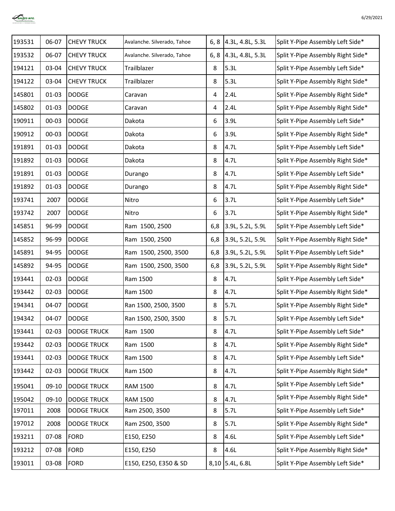

| 193531 | 06-07     | <b>CHEVY TRUCK</b> | Avalanche. Silverado, Tahoe |     | 6, 8 4.3L, 4.8L, 5.3L    | Split Y-Pipe Assembly Left Side*  |
|--------|-----------|--------------------|-----------------------------|-----|--------------------------|-----------------------------------|
| 193532 | 06-07     | <b>CHEVY TRUCK</b> | Avalanche. Silverado, Tahoe |     | 6, 8 $ 4.3L, 4.8L, 5.3L$ | Split Y-Pipe Assembly Right Side* |
| 194121 | 03-04     | <b>CHEVY TRUCK</b> | Trailblazer                 | 8   | 5.3L                     | Split Y-Pipe Assembly Left Side*  |
| 194122 | 03-04     | <b>CHEVY TRUCK</b> | Trailblazer                 | 8   | 5.3L                     | Split Y-Pipe Assembly Right Side* |
| 145801 | $01 - 03$ | <b>DODGE</b>       | Caravan                     | 4   | 2.4L                     | Split Y-Pipe Assembly Right Side* |
| 145802 | $01 - 03$ | <b>DODGE</b>       | Caravan                     | 4   | 2.4L                     | Split Y-Pipe Assembly Right Side* |
| 190911 | $00 - 03$ | <b>DODGE</b>       | Dakota                      | 6   | 3.9L                     | Split Y-Pipe Assembly Left Side*  |
| 190912 | $00 - 03$ | <b>DODGE</b>       | Dakota                      | 6   | 3.9L                     | Split Y-Pipe Assembly Right Side* |
| 191891 | $01 - 03$ | <b>DODGE</b>       | Dakota                      | 8   | 4.7L                     | Split Y-Pipe Assembly Left Side*  |
| 191892 | $01 - 03$ | <b>DODGE</b>       | Dakota                      | 8   | 4.7L                     | Split Y-Pipe Assembly Right Side* |
| 191891 | $01 - 03$ | <b>DODGE</b>       | Durango                     | 8   | 4.7L                     | Split Y-Pipe Assembly Left Side*  |
| 191892 | $01 - 03$ | <b>DODGE</b>       | Durango                     | 8   | 4.7L                     | Split Y-Pipe Assembly Right Side* |
| 193741 | 2007      | <b>DODGE</b>       | Nitro                       | 6   | 3.7L                     | Split Y-Pipe Assembly Left Side*  |
| 193742 | 2007      | <b>DODGE</b>       | Nitro                       | 6   | 3.7L                     | Split Y-Pipe Assembly Right Side* |
| 145851 | 96-99     | <b>DODGE</b>       | Ram 1500, 2500              | 6,8 | 3.9L, 5.2L, 5.9L         | Split Y-Pipe Assembly Left Side*  |
| 145852 | 96-99     | <b>DODGE</b>       | Ram 1500, 2500              | 6,8 | 3.9L, 5.2L, 5.9L         | Split Y-Pipe Assembly Right Side* |
| 145891 | 94-95     | <b>DODGE</b>       | Ram 1500, 2500, 3500        | 6,8 | 3.9L, 5.2L, 5.9L         | Split Y-Pipe Assembly Left Side*  |
| 145892 | 94-95     | <b>DODGE</b>       | Ram 1500, 2500, 3500        | 6,8 | 3.9L, 5.2L, 5.9L         | Split Y-Pipe Assembly Right Side* |
| 193441 | $02 - 03$ | <b>DODGE</b>       | Ram 1500                    | 8   | 4.7L                     | Split Y-Pipe Assembly Left Side*  |
| 193442 | $02 - 03$ | <b>DODGE</b>       | Ram 1500                    | 8   | 4.7L                     | Split Y-Pipe Assembly Right Side* |
| 194341 | 04-07     | <b>DODGE</b>       | Ran 1500, 2500, 3500        | 8   | 5.7L                     | Split Y-Pipe Assembly Right Side* |
| 194342 | 04-07     | <b>DODGE</b>       | Ran 1500, 2500, 3500        | 8   | 5.7L                     | Split Y-Pipe Assembly Left Side*  |
| 193441 | $02 - 03$ | <b>DODGE TRUCK</b> | Ram 1500                    | 8   | 4.7L                     | Split Y-Pipe Assembly Left Side*  |
| 193442 | $02 - 03$ | <b>DODGE TRUCK</b> | Ram 1500                    | 8   | 4.7L                     | Split Y-Pipe Assembly Right Side* |
| 193441 | $02 - 03$ | <b>DODGE TRUCK</b> | Ram 1500                    | 8   | 4.7L                     | Split Y-Pipe Assembly Left Side*  |
| 193442 | $02 - 03$ | <b>DODGE TRUCK</b> | Ram 1500                    | 8   | 4.7L                     | Split Y-Pipe Assembly Right Side* |
| 195041 | 09-10     | <b>DODGE TRUCK</b> | <b>RAM 1500</b>             | 8   | 4.7L                     | Split Y-Pipe Assembly Left Side*  |
| 195042 | $09-10$   | <b>DODGE TRUCK</b> | <b>RAM 1500</b>             | 8   | 4.7L                     | Split Y-Pipe Assembly Right Side* |
| 197011 | 2008      | <b>DODGE TRUCK</b> | Ram 2500, 3500              | 8   | 5.7L                     | Split Y-Pipe Assembly Left Side*  |
| 197012 | 2008      | <b>DODGE TRUCK</b> | Ram 2500, 3500              | 8   | 5.7L                     | Split Y-Pipe Assembly Right Side* |
| 193211 | 07-08     | <b>FORD</b>        | E150, E250                  | 8   | 4.6L                     | Split Y-Pipe Assembly Left Side*  |
| 193212 | 07-08     | FORD               | E150, E250                  | 8   | 4.6L                     | Split Y-Pipe Assembly Right Side* |
| 193011 | 03-08     | <b>FORD</b>        | E150, E250, E350 & SD       |     | 8,10 5.4L, 6.8L          | Split Y-Pipe Assembly Left Side*  |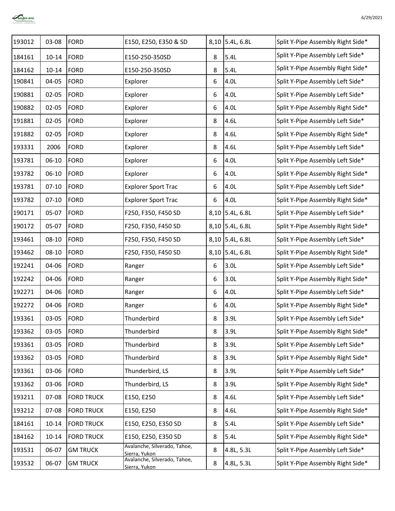

| 193012 | 03-08     | <b>FORD</b>       | E150, E250, E350 & SD                         |   | 8,10 5.4L, 6.8L | Split Y-Pipe Assembly Right Side* |
|--------|-----------|-------------------|-----------------------------------------------|---|-----------------|-----------------------------------|
| 184161 | $10 - 14$ | <b>FORD</b>       | E150-250-350SD                                | 8 | 5.4L            | Split Y-Pipe Assembly Left Side*  |
| 184162 | $10 - 14$ | <b>FORD</b>       | E150-250-350SD                                | 8 | 5.4L            | Split Y-Pipe Assembly Right Side* |
| 190841 | 04-05     | <b>FORD</b>       | Explorer                                      | 6 | 4.0L            | Split Y-Pipe Assembly Left Side*  |
| 190881 | $02 - 05$ | <b>FORD</b>       | Explorer                                      | 6 | 4.0L            | Split Y-Pipe Assembly Left Side*  |
| 190882 | $02 - 05$ | <b>FORD</b>       | Explorer                                      | 6 | 4.0L            | Split Y-Pipe Assembly Right Side* |
| 191881 | $02 - 05$ | <b>FORD</b>       | Explorer                                      | 8 | 4.6L            | Split Y-Pipe Assembly Left Side*  |
| 191882 | $02 - 05$ | <b>FORD</b>       | Explorer                                      | 8 | 4.6L            | Split Y-Pipe Assembly Right Side* |
| 193331 | 2006      | <b>FORD</b>       | Explorer                                      | 8 | 4.6L            | Split Y-Pipe Assembly Left Side*  |
| 193781 | $06-10$   | <b>FORD</b>       | Explorer                                      | 6 | 4.0L            | Split Y-Pipe Assembly Left Side*  |
| 193782 | $06-10$   | <b>FORD</b>       | Explorer                                      | 6 | 4.0L            | Split Y-Pipe Assembly Right Side* |
| 193781 | $07 - 10$ | <b>FORD</b>       | <b>Explorer Sport Trac</b>                    | 6 | 4.0L            | Split Y-Pipe Assembly Left Side*  |
| 193782 | $07 - 10$ | <b>FORD</b>       | <b>Explorer Sport Trac</b>                    | 6 | 4.0L            | Split Y-Pipe Assembly Right Side* |
| 190171 | 05-07     | <b>FORD</b>       | F250, F350, F450 SD                           |   | 8,10 5.4L, 6.8L | Split Y-Pipe Assembly Left Side*  |
| 190172 | 05-07     | <b>FORD</b>       | F250, F350, F450 SD                           |   | 8,10 5.4L, 6.8L | Split Y-Pipe Assembly Right Side* |
| 193461 | $08 - 10$ | <b>FORD</b>       | F250, F350, F450 SD                           |   | 8,10 5.4L, 6.8L | Split Y-Pipe Assembly Left Side*  |
| 193462 | $08 - 10$ | <b>FORD</b>       | F250, F350, F450 SD                           |   | 8,10 5.4L, 6.8L | Split Y-Pipe Assembly Right Side* |
| 192241 | 04-06     | <b>FORD</b>       | Ranger                                        | 6 | 3.0L            | Split Y-Pipe Assembly Left Side*  |
| 192242 | 04-06     | <b>FORD</b>       | Ranger                                        | 6 | 3.0L            | Split Y-Pipe Assembly Right Side* |
| 192271 | 04-06     | <b>FORD</b>       | Ranger                                        | 6 | 4.0L            | Split Y-Pipe Assembly Left Side*  |
| 192272 | 04-06     | <b>FORD</b>       | Ranger                                        | 6 | 4.0L            | Split Y-Pipe Assembly Right Side* |
| 193361 | 03-05     | <b>FORD</b>       | Thunderbird                                   | 8 | 3.9L            | Split Y-Pipe Assembly Left Side*  |
| 193362 | 03-05     | <b>FORD</b>       | Thunderbird                                   | 8 | 3.9L            | Split Y-Pipe Assembly Right Side* |
| 193361 | 03-05     | <b>FORD</b>       | Thunderbird                                   | 8 | 3.9L            | Split Y-Pipe Assembly Left Side*  |
| 193362 | 03-05     | <b>FORD</b>       | Thunderbird                                   | 8 | 3.9L            | Split Y-Pipe Assembly Right Side* |
| 193361 | 03-06     | <b>FORD</b>       | Thunderbird, LS                               | 8 | 3.9L            | Split Y-Pipe Assembly Left Side*  |
| 193362 | 03-06     | <b>FORD</b>       | Thunderbird, LS                               | 8 | 3.9L            | Split Y-Pipe Assembly Right Side* |
| 193211 | 07-08     | <b>FORD TRUCK</b> | E150, E250                                    | 8 | 4.6L            | Split Y-Pipe Assembly Left Side*  |
| 193212 | $07 - 08$ | <b>FORD TRUCK</b> | E150, E250                                    | 8 | 4.6L            | Split Y-Pipe Assembly Right Side* |
| 184161 | $10 - 14$ | <b>FORD TRUCK</b> | E150, E250, E350 SD                           | 8 | 5.4L            | Split Y-Pipe Assembly Left Side*  |
| 184162 | $10 - 14$ | <b>FORD TRUCK</b> | E150, E250, E350 SD                           | 8 | 5.4L            | Split Y-Pipe Assembly Right Side* |
| 193531 | 06-07     | <b>GM TRUCK</b>   | Avalanche, Silverado, Tahoe,<br>Sierra, Yukon | 8 | 4.8L, 5.3L      | Split Y-Pipe Assembly Left Side*  |
| 193532 | 06-07     | <b>GM TRUCK</b>   | Avalanche, Silverado, Tahoe,<br>Sierra, Yukon | 8 | 4.8L, 5.3L      | Split Y-Pipe Assembly Right Side* |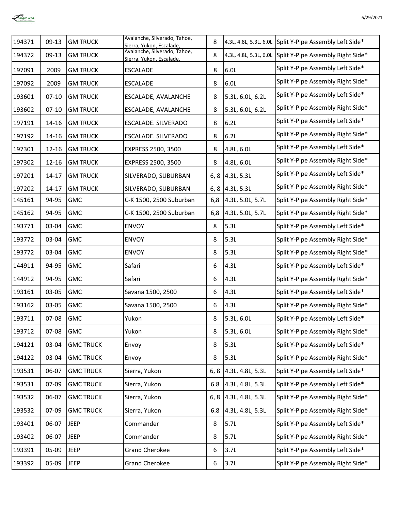

| 194371 | $09-13$   | <b>GM TRUCK</b>  | Avalanche, Silverado, Tahoe,<br>Sierra, Yukon, Escalade, | 8    |                    | 4.3L, 4.8L, 5.3L, 6.0L Split Y-Pipe Assembly Left Side*  |
|--------|-----------|------------------|----------------------------------------------------------|------|--------------------|----------------------------------------------------------|
| 194372 | $09-13$   | <b>GM TRUCK</b>  | Avalanche, Silverado, Tahoe,<br>Sierra, Yukon, Escalade, | 8    |                    | 4.3L, 4.8L, 5.3L, 6.0L Split Y-Pipe Assembly Right Side* |
| 197091 | 2009      | <b>GM TRUCK</b>  | <b>ESCALADE</b>                                          | 8    | 6.0L               | Split Y-Pipe Assembly Left Side*                         |
| 197092 | 2009      | <b>GM TRUCK</b>  | <b>ESCALADE</b>                                          | 8    | 6.0L               | Split Y-Pipe Assembly Right Side*                        |
| 193601 | $07 - 10$ | <b>GM TRUCK</b>  | ESCALADE, AVALANCHE                                      | 8    | 5.3L, 6.0L, 6.2L   | Split Y-Pipe Assembly Left Side*                         |
| 193602 | $07 - 10$ | <b>GM TRUCK</b>  | ESCALADE, AVALANCHE                                      | 8    | 5.3L, 6.0L, 6.2L   | Split Y-Pipe Assembly Right Side*                        |
| 197191 | 14-16     | <b>GM TRUCK</b>  | ESCALADE. SILVERADO                                      | 8    | 6.2L               | Split Y-Pipe Assembly Left Side*                         |
| 197192 | $14 - 16$ | <b>GM TRUCK</b>  | ESCALADE. SILVERADO                                      | 8    | 6.2L               | Split Y-Pipe Assembly Right Side*                        |
| 197301 | $12 - 16$ | <b>GM TRUCK</b>  | EXPRESS 2500, 3500                                       | 8    | 4.8L, 6.0L         | Split Y-Pipe Assembly Left Side*                         |
| 197302 | $12 - 16$ | <b>GM TRUCK</b>  | EXPRESS 2500, 3500                                       | 8    | 4.8L, 6.0L         | Split Y-Pipe Assembly Right Side*                        |
| 197201 | $14 - 17$ | <b>GM TRUCK</b>  | SILVERADO, SUBURBAN                                      |      | 6, 8 $ 4.3L, 5.3L$ | Split Y-Pipe Assembly Left Side*                         |
| 197202 | $14 - 17$ | <b>GM TRUCK</b>  | SILVERADO, SUBURBAN                                      |      | 6, 8 $ 4.3L, 5.3L$ | Split Y-Pipe Assembly Right Side*                        |
| 145161 | 94-95     | <b>GMC</b>       | C-K 1500, 2500 Suburban                                  | 6,8  | 4.3L, 5.0L, 5.7L   | Split Y-Pipe Assembly Right Side*                        |
| 145162 | 94-95     | <b>GMC</b>       | C-K 1500, 2500 Suburban                                  | 6,8  | 4.3L, 5.0L, 5.7L   | Split Y-Pipe Assembly Right Side*                        |
| 193771 | 03-04     | <b>GMC</b>       | <b>ENVOY</b>                                             | 8    | 5.3L               | Split Y-Pipe Assembly Left Side*                         |
| 193772 | 03-04     | <b>GMC</b>       | <b>ENVOY</b>                                             | 8    | 5.3L               | Split Y-Pipe Assembly Right Side*                        |
| 193772 | 03-04     | <b>GMC</b>       | <b>ENVOY</b>                                             | 8    | 5.3L               | Split Y-Pipe Assembly Right Side*                        |
| 144911 | 94-95     | <b>GMC</b>       | Safari                                                   | 6    | 4.3L               | Split Y-Pipe Assembly Left Side*                         |
| 144912 | 94-95     | GMC              | Safari                                                   | 6    | 4.3L               | Split Y-Pipe Assembly Right Side*                        |
| 193161 | 03-05     | <b>GMC</b>       | Savana 1500, 2500                                        | 6    | 4.3L               | Split Y-Pipe Assembly Left Side*                         |
| 193162 | 03-05     | <b>GMC</b>       | Savana 1500, 2500                                        | 6    | 4.3L               | Split Y-Pipe Assembly Right Side*                        |
| 193711 | 07-08     | <b>GMC</b>       | Yukon                                                    | 8    | 5.3L, 6.0L         | Split Y-Pipe Assembly Left Side*                         |
| 193712 | 07-08     | <b>GMC</b>       | Yukon                                                    | 8    | 5.3L, 6.0L         | Split Y-Pipe Assembly Right Side*                        |
| 194121 | 03-04     | <b>GMC TRUCK</b> | Envoy                                                    | 8    | 5.3L               | Split Y-Pipe Assembly Left Side*                         |
| 194122 | 03-04     | <b>GMC TRUCK</b> | Envoy                                                    | 8    | 5.3L               | Split Y-Pipe Assembly Right Side*                        |
| 193531 | 06-07     | <b>GMC TRUCK</b> | Sierra, Yukon                                            | 6, 8 | 4.3L, 4.8L, 5.3L   | Split Y-Pipe Assembly Left Side*                         |
| 193531 | 07-09     | <b>GMC TRUCK</b> | Sierra, Yukon                                            | 6.8  | 4.3L, 4.8L, 5.3L   | Split Y-Pipe Assembly Left Side*                         |
| 193532 | 06-07     | <b>GMC TRUCK</b> | Sierra, Yukon                                            | 6, 8 | 4.3L, 4.8L, 5.3L   | Split Y-Pipe Assembly Right Side*                        |
| 193532 | 07-09     | <b>GMC TRUCK</b> | Sierra, Yukon                                            | 6.8  | 4.3L, 4.8L, 5.3L   | Split Y-Pipe Assembly Right Side*                        |
| 193401 | 06-07     | <b>JEEP</b>      | Commander                                                | 8    | 5.7L               | Split Y-Pipe Assembly Left Side*                         |
| 193402 | 06-07     | <b>JEEP</b>      | Commander                                                | 8    | 5.7L               | Split Y-Pipe Assembly Right Side*                        |
| 193391 | 05-09     | <b>JEEP</b>      | <b>Grand Cherokee</b>                                    | 6    | 3.7L               | Split Y-Pipe Assembly Left Side*                         |
| 193392 | 05-09     | <b>JEEP</b>      | <b>Grand Cherokee</b>                                    | 6    | 3.7L               | Split Y-Pipe Assembly Right Side*                        |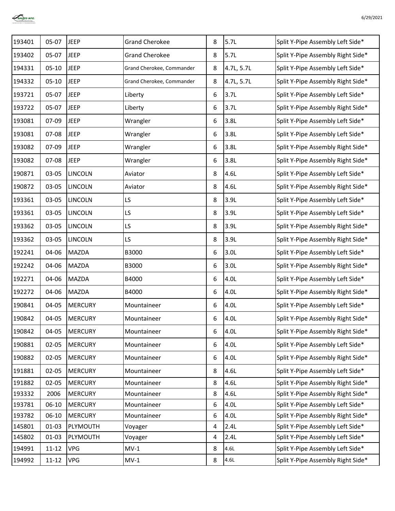

| 193401 | 05-07     | <b>JEEP</b>    | <b>Grand Cherokee</b>     | 8 | 5.7L       | Split Y-Pipe Assembly Left Side*  |
|--------|-----------|----------------|---------------------------|---|------------|-----------------------------------|
| 193402 | 05-07     | <b>JEEP</b>    | <b>Grand Cherokee</b>     | 8 | 5.7L       | Split Y-Pipe Assembly Right Side* |
| 194331 | $05 - 10$ | <b>JEEP</b>    | Grand Cherokee, Commander | 8 | 4.7L, 5.7L | Split Y-Pipe Assembly Left Side*  |
| 194332 | $05-10$   | <b>JEEP</b>    | Grand Cherokee, Commander | 8 | 4.7L, 5.7L | Split Y-Pipe Assembly Right Side* |
| 193721 | $05-07$   | <b>JEEP</b>    | Liberty                   | 6 | 3.7L       | Split Y-Pipe Assembly Left Side*  |
| 193722 | 05-07     | <b>JEEP</b>    | Liberty                   | 6 | 3.7L       | Split Y-Pipe Assembly Right Side* |
| 193081 | 07-09     | <b>JEEP</b>    | Wrangler                  | 6 | 3.8L       | Split Y-Pipe Assembly Left Side*  |
| 193081 | 07-08     | <b>JEEP</b>    | Wrangler                  | 6 | 3.8L       | Split Y-Pipe Assembly Left Side*  |
| 193082 | 07-09     | <b>JEEP</b>    | Wrangler                  | 6 | 3.8L       | Split Y-Pipe Assembly Right Side* |
| 193082 | $07 - 08$ | <b>JEEP</b>    | Wrangler                  | 6 | 3.8L       | Split Y-Pipe Assembly Right Side* |
| 190871 | 03-05     | <b>LINCOLN</b> | Aviator                   | 8 | 4.6L       | Split Y-Pipe Assembly Left Side*  |
| 190872 | 03-05     | <b>LINCOLN</b> | Aviator                   | 8 | 4.6L       | Split Y-Pipe Assembly Right Side* |
| 193361 | 03-05     | <b>LINCOLN</b> | LS                        | 8 | 3.9L       | Split Y-Pipe Assembly Left Side*  |
| 193361 | 03-05     | <b>LINCOLN</b> | LS                        | 8 | 3.9L       | Split Y-Pipe Assembly Left Side*  |
| 193362 | 03-05     | <b>LINCOLN</b> | LS                        | 8 | 3.9L       | Split Y-Pipe Assembly Right Side* |
| 193362 | 03-05     | <b>LINCOLN</b> | LS                        | 8 | 3.9L       | Split Y-Pipe Assembly Right Side* |
| 192241 | 04-06     | MAZDA          | B3000                     | 6 | 3.0L       | Split Y-Pipe Assembly Left Side*  |
| 192242 | 04-06     | MAZDA          | B3000                     | 6 | 3.0L       | Split Y-Pipe Assembly Right Side* |
| 192271 | 04-06     | MAZDA          | B4000                     | 6 | 4.0L       | Split Y-Pipe Assembly Left Side*  |
| 192272 | 04-06     | MAZDA          | B4000                     | 6 | 4.0L       | Split Y-Pipe Assembly Right Side* |
| 190841 | 04-05     | <b>MERCURY</b> | Mountaineer               | 6 | 4.0L       | Split Y-Pipe Assembly Left Side*  |
| 190842 | 04-05     | <b>MERCURY</b> | Mountaineer               | 6 | 4.0L       | Split Y-Pipe Assembly Right Side* |
| 190842 | $04 - 05$ | <b>MERCURY</b> | Mountaineer               | 6 | 4.0L       | Split Y-Pipe Assembly Right Side* |
| 190881 | $02 - 05$ | <b>MERCURY</b> | Mountaineer               | 6 | 4.0L       | Split Y-Pipe Assembly Left Side*  |
| 190882 | $02 - 05$ | <b>MERCURY</b> | Mountaineer               | 6 | 4.0L       | Split Y-Pipe Assembly Right Side* |
| 191881 | $02 - 05$ | <b>MERCURY</b> | Mountaineer               | 8 | 4.6L       | Split Y-Pipe Assembly Left Side*  |
| 191882 | $02 - 05$ | <b>MERCURY</b> | Mountaineer               | 8 | 4.6L       | Split Y-Pipe Assembly Right Side* |
| 193332 | 2006      | <b>MERCURY</b> | Mountaineer               | 8 | 4.6L       | Split Y-Pipe Assembly Right Side* |
| 193781 | $06-10$   | <b>MERCURY</b> | Mountaineer               | 6 | 4.0L       | Split Y-Pipe Assembly Left Side*  |
| 193782 | $06 - 10$ | <b>MERCURY</b> | Mountaineer               | 6 | 4.0L       | Split Y-Pipe Assembly Right Side* |
| 145801 | $01 - 03$ | PLYMOUTH       | Voyager                   | 4 | 2.4L       | Split Y-Pipe Assembly Left Side*  |
| 145802 | $01 - 03$ | PLYMOUTH       | Voyager                   | 4 | 2.4L       | Split Y-Pipe Assembly Left Side*  |
| 194991 | $11 - 12$ | VPG            | $MV-1$                    | 8 | 4.6L       | Split Y-Pipe Assembly Left Side*  |
| 194992 | $11 - 12$ | VPG            | $MV-1$                    | 8 | 4.6L       | Split Y-Pipe Assembly Right Side* |